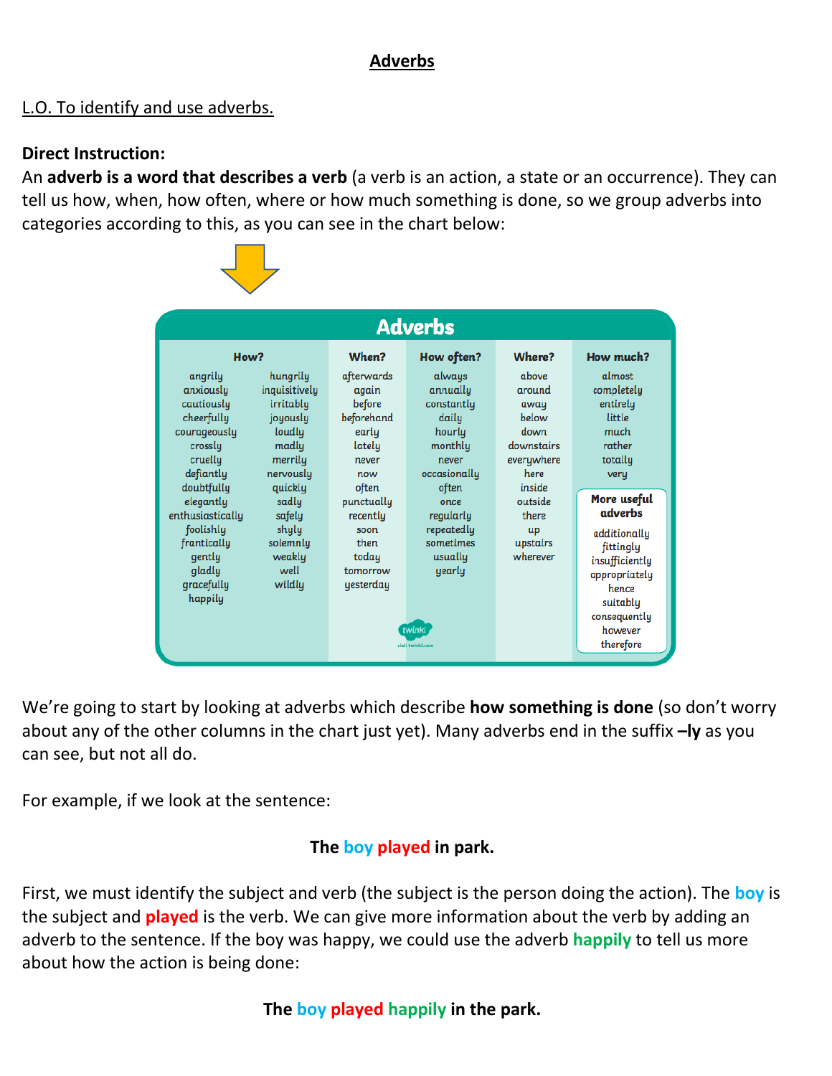# **Adverbs**

# L.O. To identify and use adverbs.

## **Direct Instruction:**

An **adverb is a word that describes a verb** (a verb is an action, a state or an occurrence). They can tell us how, when, how often, where or how much something is done, so we group adverbs into categories according to this, as you can see in the chart below:



We're going to start by looking at adverbs which describe **how something is done** (so don't worry about any of the other columns in the chart just yet). Many adverbs end in the suffix **–ly** as you can see, but not all do.

For example, if we look at the sentence:

# **The boy played in park.**

First, we must identify the subject and verb (the subject is the person doing the action). The **boy** is the subject and **played** is the verb. We can give more information about the verb by adding an adverb to the sentence. If the boy was happy, we could use the adverb **happily** to tell us more about how the action is being done:

# **The boy played happily in the park.**